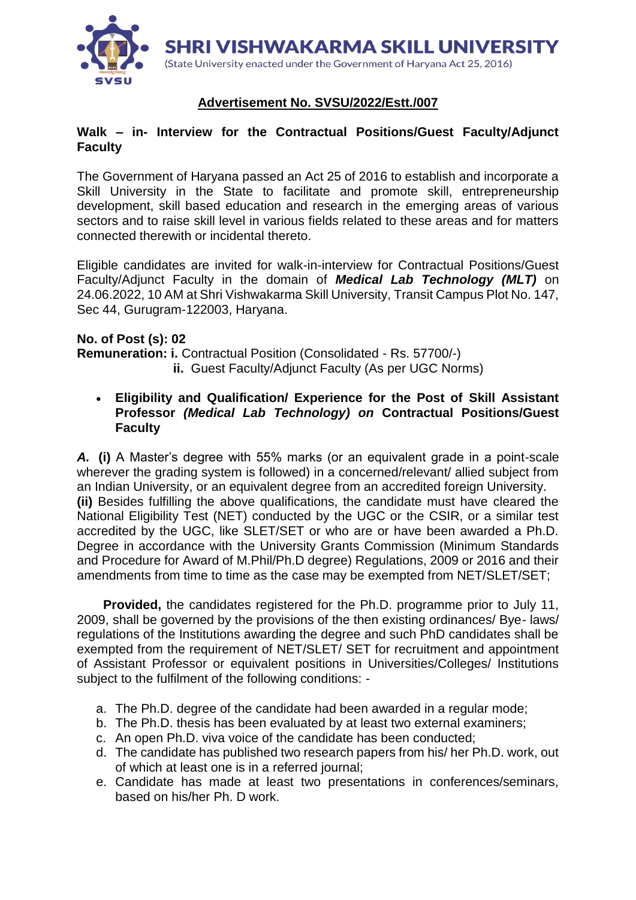

# **Advertisement No. SVSU/2022/Estt./007**

## **Walk – in- Interview for the Contractual Positions/Guest Faculty/Adjunct Faculty**

The Government of Haryana passed an Act 25 of 2016 to establish and incorporate a Skill University in the State to facilitate and promote skill, entrepreneurship development, skill based education and research in the emerging areas of various sectors and to raise skill level in various fields related to these areas and for matters connected therewith or incidental thereto.

Eligible candidates are invited for walk-in-interview for Contractual Positions/Guest Faculty/Adjunct Faculty in the domain of *Medical Lab Technology (MLT)* on 24.06.2022, 10 AM at Shri Vishwakarma Skill University, Transit Campus Plot No. 147, Sec 44, Gurugram-122003, Haryana.

## **No. of Post (s): 02**

**Remuneration: i.** Contractual Position (Consolidated - Rs. 57700/-)  **ii.** Guest Faculty/Adjunct Faculty (As per UGC Norms)

 **Eligibility and Qualification/ Experience for the Post of Skill Assistant Professor** *(Medical Lab Technology) on* **Contractual Positions/Guest Faculty**

*A.* **(i)** A Master's degree with 55% marks (or an equivalent grade in a point-scale wherever the grading system is followed) in a concerned/relevant/ allied subject from an Indian University, or an equivalent degree from an accredited foreign University. **(ii)** Besides fulfilling the above qualifications, the candidate must have cleared the National Eligibility Test (NET) conducted by the UGC or the CSIR, or a similar test accredited by the UGC, like SLET/SET or who are or have been awarded a Ph.D. Degree in accordance with the University Grants Commission (Minimum Standards and Procedure for Award of M.Phil/Ph.D degree) Regulations, 2009 or 2016 and their amendments from time to time as the case may be exempted from NET/SLET/SET;

 **Provided,** the candidates registered for the Ph.D. programme prior to July 11, 2009, shall be governed by the provisions of the then existing ordinances/ Bye- laws/ regulations of the Institutions awarding the degree and such PhD candidates shall be exempted from the requirement of NET/SLET/ SET for recruitment and appointment of Assistant Professor or equivalent positions in Universities/Colleges/ Institutions subject to the fulfilment of the following conditions: -

- a. The Ph.D. degree of the candidate had been awarded in a regular mode;
- b. The Ph.D. thesis has been evaluated by at least two external examiners;
- c. An open Ph.D. viva voice of the candidate has been conducted;
- d. The candidate has published two research papers from his/ her Ph.D. work, out of which at least one is in a referred journal;
- e. Candidate has made at least two presentations in conferences/seminars, based on his/her Ph. D work.